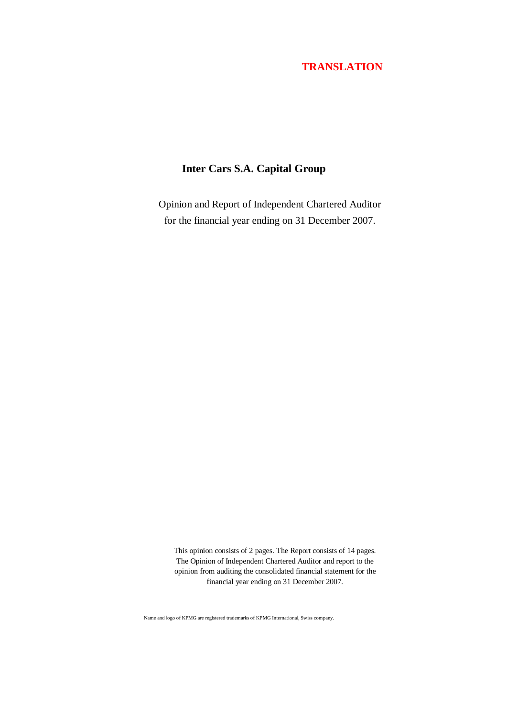# **Inter Cars S.A. Capital Group**

Opinion and Report of Independent Chartered Auditor for the financial year ending on 31 December 2007.

This opinion consists of 2 pages. The Report consists of 14 pages. The Opinion of Independent Chartered Auditor and report to the opinion from auditing the consolidated financial statement for the financial year ending on 31 December 2007.

Name and logo of KPMG are registered trademarks of KPMG International, Swiss company.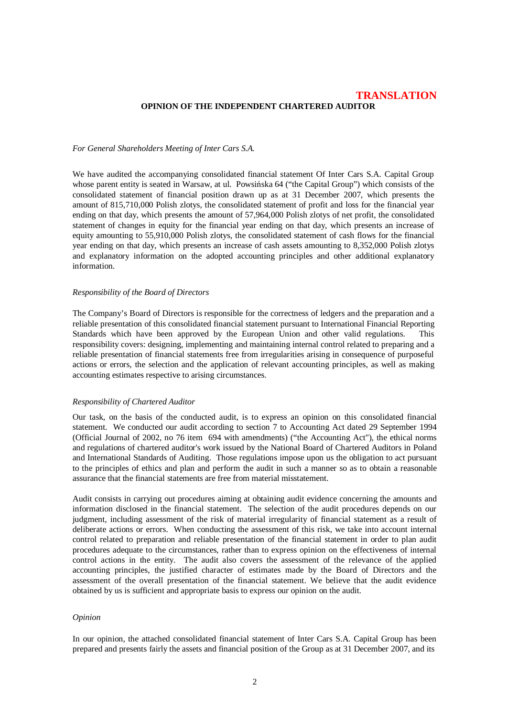### **TRANSLATION OPINION OF THE INDEPENDENT CHARTERED AUDITOR**

#### *For General Shareholders Meeting of Inter Cars S.A.*

We have audited the accompanying consolidated financial statement Of Inter Cars S.A. Capital Group whose parent entity is seated in Warsaw, at ul. Powsińska 64 ("the Capital Group") which consists of the consolidated statement of financial position drawn up as at 31 December 2007, which presents the amount of 815,710,000 Polish zlotys, the consolidated statement of profit and loss for the financial year ending on that day, which presents the amount of 57,964,000 Polish zlotys of net profit, the consolidated statement of changes in equity for the financial year ending on that day, which presents an increase of equity amounting to 55,910,000 Polish zlotys, the consolidated statement of cash flows for the financial year ending on that day, which presents an increase of cash assets amounting to 8,352,000 Polish zlotys and explanatory information on the adopted accounting principles and other additional explanatory information.

#### *Responsibility of the Board of Directors*

The Company's Board of Directors is responsible for the correctness of ledgers and the preparation and a reliable presentation of this consolidated financial statement pursuant to International Financial Reporting Standards which have been approved by the European Union and other valid regulations. This responsibility covers: designing, implementing and maintaining internal control related to preparing and a reliable presentation of financial statements free from irregularities arising in consequence of purposeful actions or errors, the selection and the application of relevant accounting principles, as well as making accounting estimates respective to arising circumstances.

#### *Responsibility of Chartered Auditor*

Our task, on the basis of the conducted audit, is to express an opinion on this consolidated financial statement. We conducted our audit according to section 7 to Accounting Act dated 29 September 1994 (Official Journal of 2002, no 76 item 694 with amendments) ("the Accounting Act"), the ethical norms and regulations of chartered auditor's work issued by the National Board of Chartered Auditors in Poland and International Standards of Auditing. Those regulations impose upon us the obligation to act pursuant to the principles of ethics and plan and perform the audit in such a manner so as to obtain a reasonable assurance that the financial statements are free from material misstatement.

Audit consists in carrying out procedures aiming at obtaining audit evidence concerning the amounts and information disclosed in the financial statement. The selection of the audit procedures depends on our judgment, including assessment of the risk of material irregularity of financial statement as a result of deliberate actions or errors. When conducting the assessment of this risk, we take into account internal control related to preparation and reliable presentation of the financial statement in order to plan audit procedures adequate to the circumstances, rather than to express opinion on the effectiveness of internal control actions in the entity. The audit also covers the assessment of the relevance of the applied accounting principles, the justified character of estimates made by the Board of Directors and the assessment of the overall presentation of the financial statement. We believe that the audit evidence obtained by us is sufficient and appropriate basis to express our opinion on the audit.

#### *Opinion*

In our opinion, the attached consolidated financial statement of Inter Cars S.A. Capital Group has been prepared and presents fairly the assets and financial position of the Group as at 31 December 2007, and its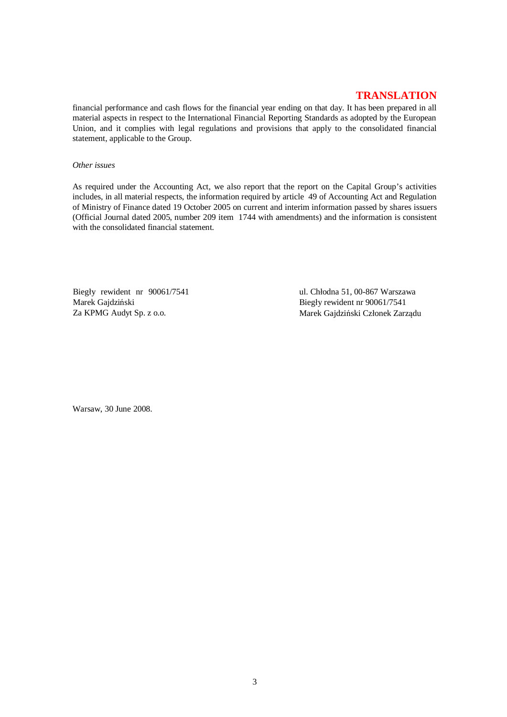financial performance and cash flows for the financial year ending on that day. It has been prepared in all material aspects in respect to the International Financial Reporting Standards as adopted by the European Union, and it complies with legal regulations and provisions that apply to the consolidated financial statement, applicable to the Group.

#### *Other issues*

As required under the Accounting Act, we also report that the report on the Capital Group's activities includes, in all material respects, the information required by article 49 of Accounting Act and Regulation of Ministry of Finance dated 19 October 2005 on current and interim information passed by shares issuers (Official Journal dated 2005, number 209 item 1744 with amendments) and the information is consistent with the consolidated financial statement.

Biegły rewident nr 90061/7541 Marek Gajdziński Za KPMG Audyt Sp. z o.o.

ul. Chłodna 51, 00-867 Warszawa Biegły rewident nr 90061/7541 Marek Gajdziński Członek Zarządu

Warsaw, 30 June 2008.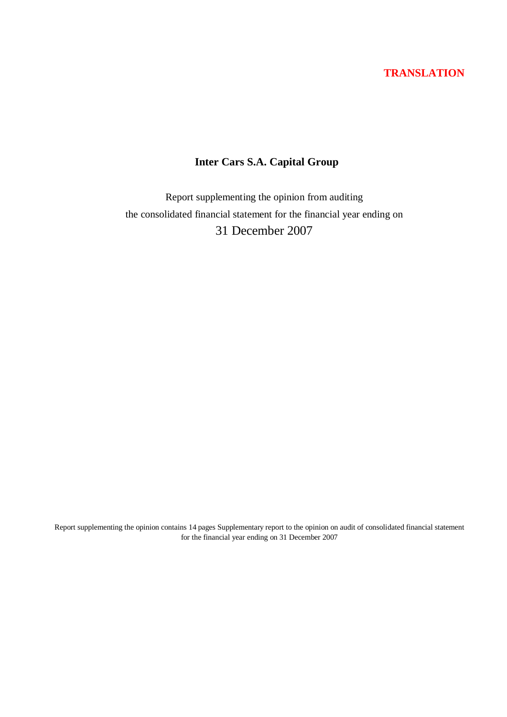# **Inter Cars S.A. Capital Group**

Report supplementing the opinion from auditing the consolidated financial statement for the financial year ending on 31 December 2007

Report supplementing the opinion contains 14 pages Supplementary report to the opinion on audit of consolidated financial statement for the financial year ending on 31 December 2007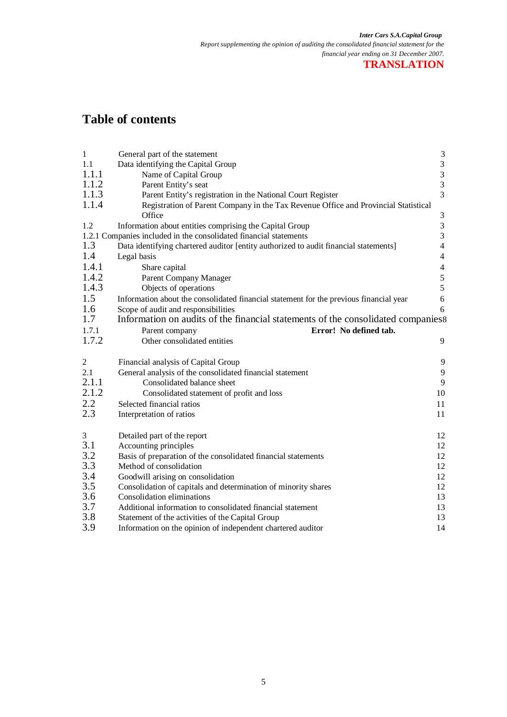# **Table of contents**

| $\mathbf{1}$     | General part of the statement                                                          | $\mathfrak{Z}$                             |  |  |
|------------------|----------------------------------------------------------------------------------------|--------------------------------------------|--|--|
| 1.1              | Data identifying the Capital Group                                                     | $\begin{array}{c} 3 \\ 3 \\ 3 \end{array}$ |  |  |
| 1.1.1            | Name of Capital Group                                                                  |                                            |  |  |
| 1.1.2            | Parent Entity's seat                                                                   |                                            |  |  |
| 1.1.3            | Parent Entity's registration in the National Court Register                            | $\overline{3}$                             |  |  |
| 1.1.4            | Registration of Parent Company in the Tax Revenue Office and Provincial Statistical    |                                            |  |  |
|                  | Office                                                                                 | $\mathfrak{Z}$                             |  |  |
| 1.2              | Information about entities comprising the Capital Group                                | $\mathfrak{Z}$                             |  |  |
|                  | 1.2.1 Companies included in the consolidated financial statements                      | $\overline{3}$                             |  |  |
| 1.3              | Data identifying chartered auditor [entity authorized to audit financial statements]   | $\overline{\mathbf{4}}$                    |  |  |
| 1.4              | Legal basis                                                                            | $\overline{4}$                             |  |  |
| 1.4.1            | Share capital                                                                          | $\overline{4}$                             |  |  |
| 1.4.2            | Parent Company Manager                                                                 | $\frac{5}{5}$                              |  |  |
| 1.4.3            | Objects of operations                                                                  |                                            |  |  |
| 1.5              | Information about the consolidated financial statement for the previous financial year | $\sqrt{6}$                                 |  |  |
| 1.6              | Scope of audit and responsibilities                                                    | 6                                          |  |  |
| 1.7              | Information on audits of the financial statements of the consolidated companies 8      |                                            |  |  |
| 1.7.1            | Error! No defined tab.<br>Parent company                                               |                                            |  |  |
| 1.7.2            | Other consolidated entities                                                            | 9                                          |  |  |
| $\boldsymbol{2}$ | Financial analysis of Capital Group                                                    | 9                                          |  |  |
| 2.1              | General analysis of the consolidated financial statement                               | 9                                          |  |  |
| 2.1.1            | Consolidated balance sheet                                                             | 9                                          |  |  |
| 2.1.2            | Consolidated statement of profit and loss                                              | 10                                         |  |  |
| 2.2              | Selected financial ratios                                                              | 11                                         |  |  |
| 2.3              | Interpretation of ratios                                                               | 11                                         |  |  |
| $\mathfrak{Z}$   | Detailed part of the report                                                            | 12                                         |  |  |
| 3.1              | Accounting principles                                                                  | 12                                         |  |  |
| 3.2              | Basis of preparation of the consolidated financial statements                          | 12                                         |  |  |
| 3.3              | Method of consolidation                                                                | 12                                         |  |  |
| 3.4              | Goodwill arising on consolidation                                                      | 12                                         |  |  |
| 3.5              | Consolidation of capitals and determination of minority shares                         | 12                                         |  |  |
| 3.6              | Consolidation eliminations                                                             | 13                                         |  |  |
| $3.7\,$          | Additional information to consolidated financial statement                             | 13                                         |  |  |
| 3.8              | Statement of the activities of the Capital Group                                       | 13                                         |  |  |
| 3.9              | Information on the opinion of independent chartered auditor                            | 14                                         |  |  |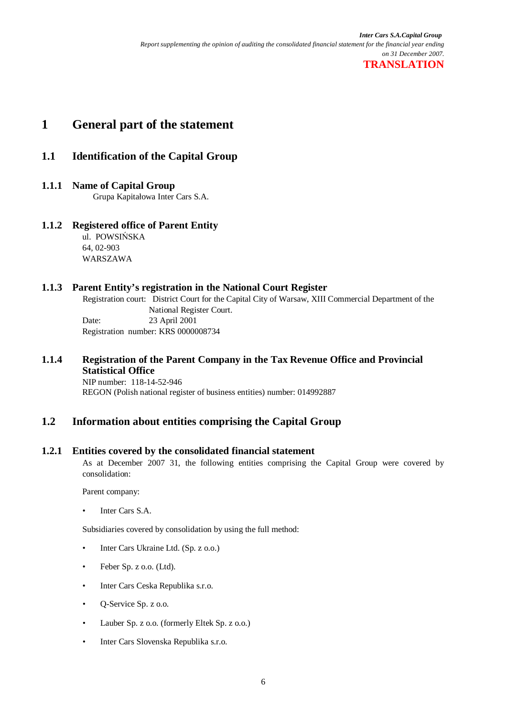# **1 General part of the statement**

## **1.1 Identification of the Capital Group**

## **1.1.1 Name of Capital Group**

Grupa Kapitaáowa Inter Cars S.A.

## **1.1.2 Registered office of Parent Entity**

ul. POWSIŃSKA 64, 02-903 WARSZAWA

## **1.1.3 Parent Entity's registration in the National Court Register**

Registration court: District Court for the Capital City of Warsaw, XIII Commercial Department of the National Register Court. Date: 23 April 2001 Registration number: KRS 0000008734

## **1.1.4 Registration of the Parent Company in the Tax Revenue Office and Provincial Statistical Office**

NIP number: 118-14-52-946 REGON (Polish national register of business entities) number: 014992887

# **1.2 Information about entities comprising the Capital Group**

## **1.2.1 Entities covered by the consolidated financial statement**

As at December 2007 31, the following entities comprising the Capital Group were covered by consolidation:

Parent company:

• Inter Cars S.A.

Subsidiaries covered by consolidation by using the full method:

- Inter Cars Ukraine Ltd. (Sp. z o.o.)
- Feber Sp. z o.o. (Ltd).
- Inter Cars Ceska Republika s.r.o.
- Q-Service Sp. z o.o.
- Lauber Sp. z o.o. (formerly Eltek Sp. z o.o.)
- Inter Cars Slovenska Republika s.r.o.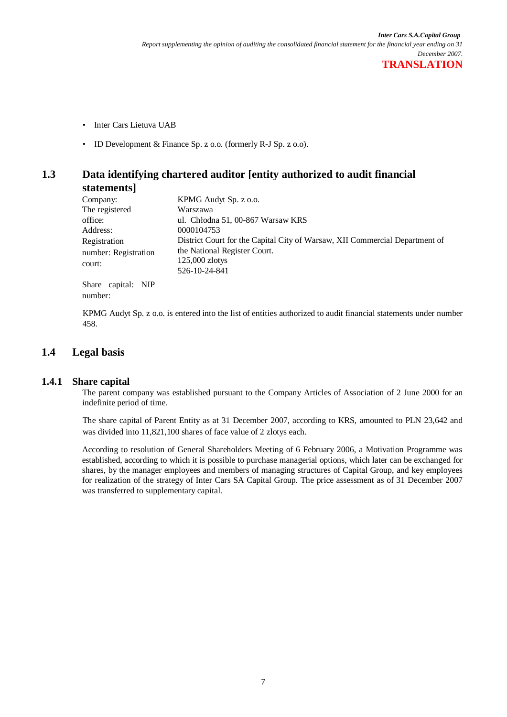- Inter Cars Lietuva UAB
- ID Development & Finance Sp. z o.o. (formerly R-J Sp. z o.o).

## **1.3 Data identifying chartered auditor [entity authorized to audit financial statements]**

| Company:             | KPMG Audyt Sp. z o.o.                                                       |
|----------------------|-----------------------------------------------------------------------------|
| The registered       | Warszawa                                                                    |
| office:              | ul. Chłodna 51, 00-867 Warsaw KRS                                           |
| Address:             | 0000104753                                                                  |
| Registration         | District Court for the Capital City of Warsaw, XII Commercial Department of |
| number: Registration | the National Register Court.                                                |
| court:               | $125,000$ zlotys                                                            |
|                      | 526-10-24-841                                                               |
| Share capital: NIP   |                                                                             |
| number:              |                                                                             |

KPMG Audyt Sp. z o.o. is entered into the list of entities authorized to audit financial statements under number 458.

## **1.4 Legal basis**

#### **1.4.1 Share capital**

The parent company was established pursuant to the Company Articles of Association of 2 June 2000 for an indefinite period of time.

The share capital of Parent Entity as at 31 December 2007, according to KRS, amounted to PLN 23,642 and was divided into 11,821,100 shares of face value of 2 zlotys each.

According to resolution of General Shareholders Meeting of 6 February 2006, a Motivation Programme was established, according to which it is possible to purchase managerial options, which later can be exchanged for shares, by the manager employees and members of managing structures of Capital Group, and key employees for realization of the strategy of Inter Cars SA Capital Group. The price assessment as of 31 December 2007 was transferred to supplementary capital.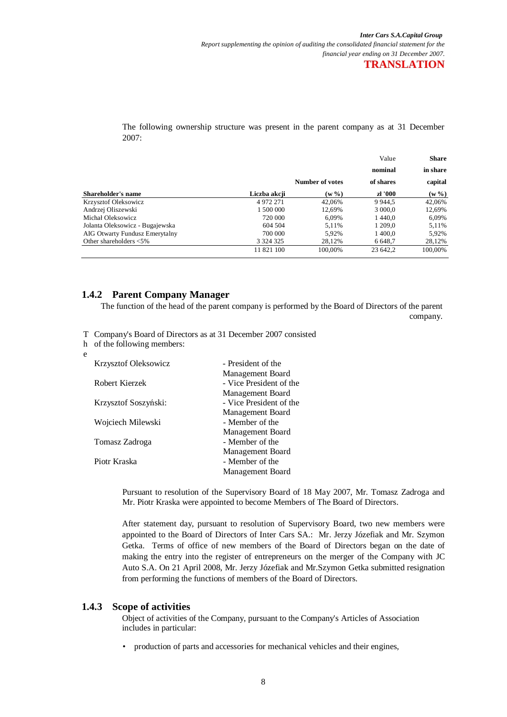The following ownership structure was present in the parent company as at 31 December 2007:

|                                            |                 | Value<br><b>Share</b> |           |  |
|--------------------------------------------|-----------------|-----------------------|-----------|--|
|                                            |                 | nominal               | in share  |  |
|                                            | Number of votes | of shares             | capital   |  |
| <b>Shareholder's name</b><br>Liczba akcji  | $(w \% )$       | zł '000               | $(w \% )$ |  |
| Krzysztof Oleksowicz<br>4972271            | 42.06%          | 9 9 4 4.5             | 42.06%    |  |
| Andrzej Oliszewski<br>1 500 000            | 12.69%          | 3 000,0               | 12,69%    |  |
| Michał Oleksowicz<br>720 000               | 6.09%           | 1440.0                | 6,09%     |  |
| Jolanta Oleksowicz - Bugajewska<br>604 504 | 5.11%           | 1 209.0               | 5,11%     |  |
| AIG Otwarty Fundusz Emerytalny<br>700 000  | 5.92%           | 1 400.0               | 5,92%     |  |
| Other shareholders $<$ 5%<br>3 3 2 4 3 2 5 | 28.12%          | 6 6 48,7              | 28,12%    |  |
| 11 821 100                                 | 100.00%         | 23 642.2              | 100.00%   |  |

### **1.4.2 Parent Company Manager**

The function of the head of the parent company is performed by the Board of Directors of the parent company.

T Company's Board of Directors as at 31 December 2007 consisted

h of the following members:

e

| <b>Krzysztof Oleksowicz</b> | - President of the      |
|-----------------------------|-------------------------|
|                             | Management Board        |
| Robert Kierzek              | - Vice President of the |
|                             | Management Board        |
| Krzysztof Soszyński:        | - Vice President of the |
|                             | Management Board        |
| Wojciech Milewski           | - Member of the         |
|                             | Management Board        |
| Tomasz Zadroga              | - Member of the         |
|                             | Management Board        |
| Piotr Kraska                | - Member of the         |
|                             | Management Board        |

Pursuant to resolution of the Supervisory Board of 18 May 2007, Mr. Tomasz Zadroga and Mr. Piotr Kraska were appointed to become Members of The Board of Directors.

After statement day, pursuant to resolution of Supervisory Board, two new members were appointed to the Board of Directors of Inter Cars SA.: Mr. Jerzy Józefiak and Mr. Szymon Getka. Terms of office of new members of the Board of Directors began on the date of making the entry into the register of entrepreneurs on the merger of the Company with JC Auto S.A. On 21 April 2008, Mr. Jerzy Józefiak and Mr.Szymon Getka submitted resignation from performing the functions of members of the Board of Directors.

#### **1.4.3 Scope of activities**

Object of activities of the Company, pursuant to the Company's Articles of Association includes in particular:

• production of parts and accessories for mechanical vehicles and their engines,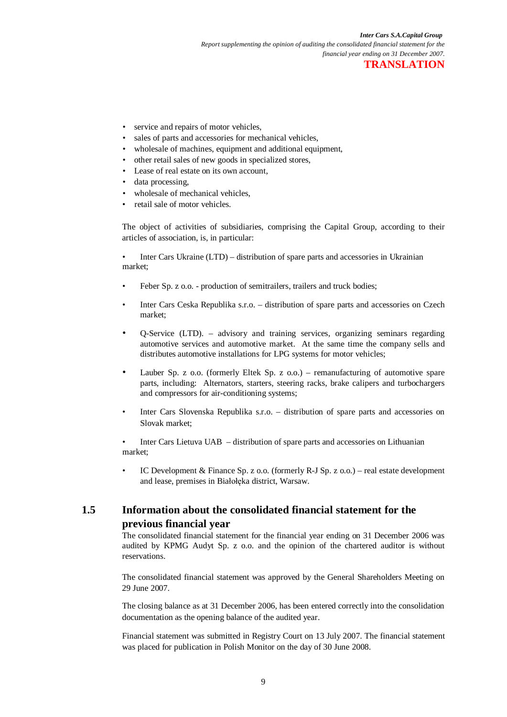- service and repairs of motor vehicles,
- sales of parts and accessories for mechanical vehicles,
- wholesale of machines, equipment and additional equipment,
- other retail sales of new goods in specialized stores,
- Lease of real estate on its own account,
- data processing,
- wholesale of mechanical vehicles.
- retail sale of motor vehicles.

The object of activities of subsidiaries, comprising the Capital Group, according to their articles of association, is, in particular:

• Inter Cars Ukraine (LTD) – distribution of spare parts and accessories in Ukrainian market;

- Feber Sp. z o.o. production of semitrailers, trailers and truck bodies;
- Inter Cars Ceska Republika s.r.o. distribution of spare parts and accessories on Czech market;
- Q-Service (LTD). advisory and training services, organizing seminars regarding automotive services and automotive market. At the same time the company sells and distributes automotive installations for LPG systems for motor vehicles;
- Lauber Sp. z  $o.o.$  (formerly Eltek Sp. z  $o.o.$ ) remanufacturing of automotive spare parts, including: Alternators, starters, steering racks, brake calipers and turbochargers and compressors for air-conditioning systems;
- Inter Cars Slovenska Republika s.r.o. distribution of spare parts and accessories on Slovak market;

• Inter Cars Lietuva UAB – distribution of spare parts and accessories on Lithuanian market;

IC Development & Finance Sp. z  $0.0$ . (formerly R-J Sp. z  $0.0$ .) – real estate development and lease, premises in Białołęka district, Warsaw.

# **1.5 Information about the consolidated financial statement for the previous financial year**

The consolidated financial statement for the financial year ending on 31 December 2006 was audited by KPMG Audyt Sp. z o.o. and the opinion of the chartered auditor is without reservations.

The consolidated financial statement was approved by the General Shareholders Meeting on 29 June 2007.

The closing balance as at 31 December 2006, has been entered correctly into the consolidation documentation as the opening balance of the audited year.

Financial statement was submitted in Registry Court on 13 July 2007. The financial statement was placed for publication in Polish Monitor on the day of 30 June 2008.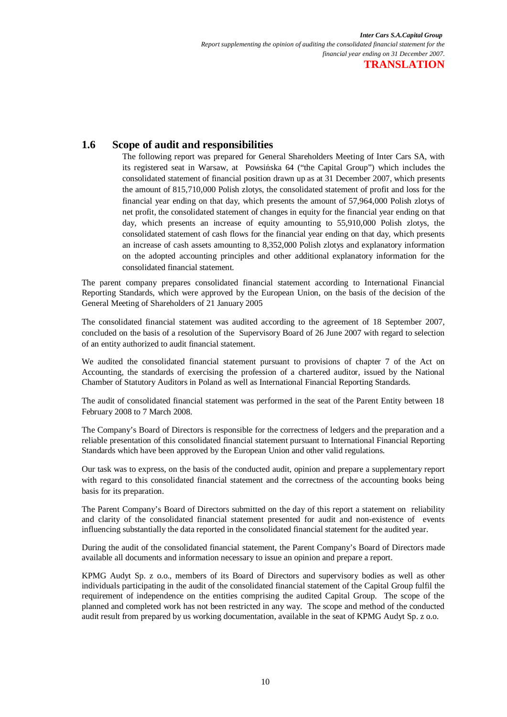## **1.6 Scope of audit and responsibilities**

The following report was prepared for General Shareholders Meeting of Inter Cars SA, with its registered seat in Warsaw, at Powsińska 64 ("the Capital Group") which includes the consolidated statement of financial position drawn up as at 31 December 2007, which presents the amount of 815,710,000 Polish zlotys, the consolidated statement of profit and loss for the financial year ending on that day, which presents the amount of 57,964,000 Polish zlotys of net profit, the consolidated statement of changes in equity for the financial year ending on that day, which presents an increase of equity amounting to 55,910,000 Polish zlotys, the consolidated statement of cash flows for the financial year ending on that day, which presents an increase of cash assets amounting to 8,352,000 Polish zlotys and explanatory information on the adopted accounting principles and other additional explanatory information for the consolidated financial statement.

The parent company prepares consolidated financial statement according to International Financial Reporting Standards, which were approved by the European Union, on the basis of the decision of the General Meeting of Shareholders of 21 January 2005

The consolidated financial statement was audited according to the agreement of 18 September 2007, concluded on the basis of a resolution of the Supervisory Board of 26 June 2007 with regard to selection of an entity authorized to audit financial statement.

We audited the consolidated financial statement pursuant to provisions of chapter 7 of the Act on Accounting, the standards of exercising the profession of a chartered auditor, issued by the National Chamber of Statutory Auditors in Poland as well as International Financial Reporting Standards.

The audit of consolidated financial statement was performed in the seat of the Parent Entity between 18 February 2008 to 7 March 2008.

The Company's Board of Directors is responsible for the correctness of ledgers and the preparation and a reliable presentation of this consolidated financial statement pursuant to International Financial Reporting Standards which have been approved by the European Union and other valid regulations.

Our task was to express, on the basis of the conducted audit, opinion and prepare a supplementary report with regard to this consolidated financial statement and the correctness of the accounting books being basis for its preparation.

The Parent Company's Board of Directors submitted on the day of this report a statement on reliability and clarity of the consolidated financial statement presented for audit and non-existence of events influencing substantially the data reported in the consolidated financial statement for the audited year.

During the audit of the consolidated financial statement, the Parent Company's Board of Directors made available all documents and information necessary to issue an opinion and prepare a report.

KPMG Audyt Sp. z o.o., members of its Board of Directors and supervisory bodies as well as other individuals participating in the audit of the consolidated financial statement of the Capital Group fulfil the requirement of independence on the entities comprising the audited Capital Group. The scope of the planned and completed work has not been restricted in any way. The scope and method of the conducted audit result from prepared by us working documentation, available in the seat of KPMG Audyt Sp. z o.o.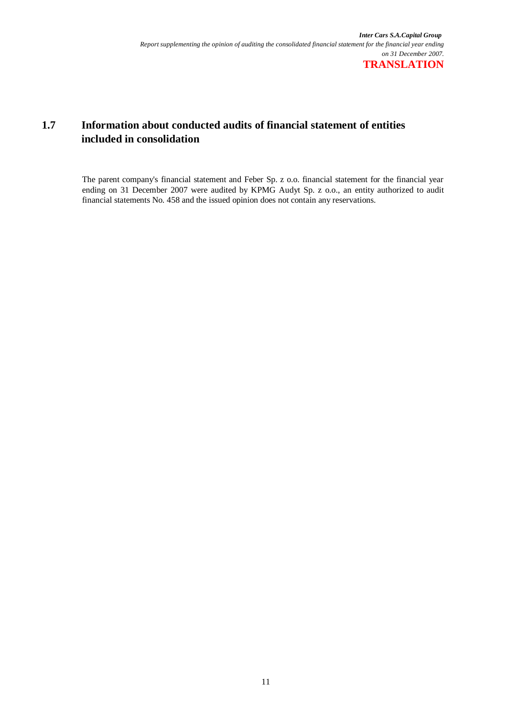# **1.7 Information about conducted audits of financial statement of entities included in consolidation**

The parent company's financial statement and Feber Sp. z o.o. financial statement for the financial year ending on 31 December 2007 were audited by KPMG Audyt Sp. z o.o., an entity authorized to audit financial statements No. 458 and the issued opinion does not contain any reservations.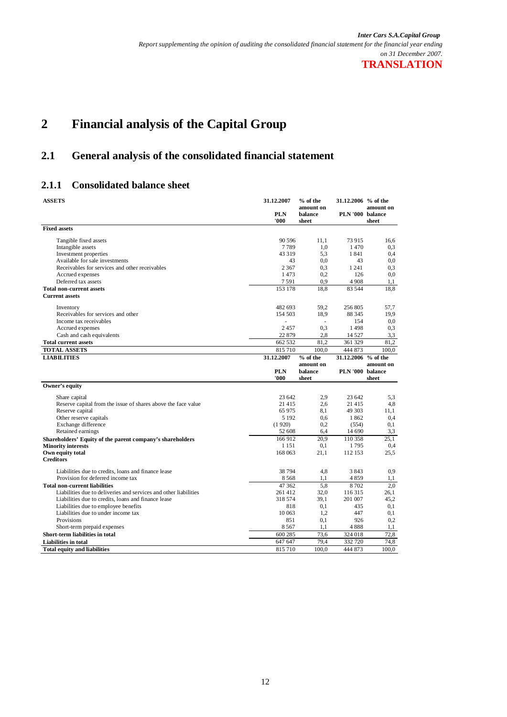# **2 Financial analysis of the Capital Group**

# **2.1 General analysis of the consolidated financial statement**

## **2.1.1 Consolidated balance sheet**

| <b>ASSETS</b>                                                    | 31.12.2007         | % of the<br>amount on | 31.12.2006 % of the | amount on |
|------------------------------------------------------------------|--------------------|-----------------------|---------------------|-----------|
|                                                                  | <b>PLN</b><br>'000 | balance<br>sheet      | PLN '000 balance    | sheet     |
| <b>Fixed assets</b>                                              |                    |                       |                     |           |
| Tangible fixed assets                                            | 90 596             | 11,1                  | 73 915              | 16,6      |
| Intangible assets                                                | 7789               | 1,0                   | 1470                | 0,3       |
| Investment properties                                            | 43 3 19            | 5.3                   | 1841                | 0.4       |
| Available for sale investments                                   | 43                 | 0.0                   | 43                  | 0.0       |
| Receivables for services and other receivables                   | 2 3 6 7            | 0.3                   | 1 2 4 1             | 0,3       |
| Accrued expenses                                                 | 1473               | 0,2                   | 126                 | 0.0       |
| Deferred tax assets                                              | 7591               | 0.9                   | 4908                | 1,1       |
| <b>Total non-current assets</b>                                  | 153 178            | 18.8                  | 83 544              | 18.8      |
| <b>Current assets</b>                                            |                    |                       |                     |           |
| Inventory                                                        | 482 693            | 59,2                  | 256 805             | 57,7      |
| Receivables for services and other                               | 154 503            | 18,9                  | 88 345              | 19,9      |
| Income tax receivables                                           | L.                 | $\sim$                | 154                 | 0.0       |
| Accrued expenses                                                 | 2457               | 0,3                   | 1498                | 0,3       |
| Cash and cash equivalents                                        | 22 879             | 2,8                   | 14 5 27             | 3,3       |
| <b>Total current assets</b>                                      | 662 532            | 81.2                  | 361 329             | 81,2      |
| <b>TOTAL ASSETS</b>                                              | 815 710            | 100,0                 | 444 873             | 100.0     |
| <b>LIABILITIES</b>                                               | 31.12.2007         | $%$ of the            | 31.12.2006 % of the |           |
|                                                                  |                    | amount on             |                     | amount on |
|                                                                  | <b>PLN</b>         | balance               | PLN '000 balance    |           |
|                                                                  | '000               | sheet                 |                     | sheet     |
| Owner's equity                                                   |                    |                       |                     |           |
| Share capital                                                    | 23 642             | 2.9                   | 23 642              | 5,3       |
| Reserve capital from the issue of shares above the face value    | 21 4 15            | 2.6                   | 21 4 15             | 4,8       |
| Reserve capital                                                  | 65 975             | 8.1                   | 49 303              | 11,1      |
| Other reserve capitals                                           | 5 1 9 2            | 0.6                   | 1862                | 0,4       |
| Exchange difference                                              | (1920)             | 0,2                   | (554)               | 0,1       |
| Retained earnings                                                | 52 608             | 6,4                   | 14 690              | 3,3       |
| Shareholders' Equity of the parent company's shareholders        | 166 912            | 20,9                  | 110 358             | 25,1      |
| <b>Minority interests</b>                                        | 1 1 5 1            | 0,1                   | 1795                | 0,4       |
| Own equity total                                                 | 168 063            | 21.1                  | 112 153             | 25,5      |
| <b>Creditors</b>                                                 |                    |                       |                     |           |
| Liabilities due to credits, loans and finance lease              | 38 794             | 4,8                   | 3843                | 0.9       |
| Provision for deferred income tax                                | 8568               | 1,1                   | 4859                | 1,1       |
| <b>Total non-current liabilities</b>                             | 47 362             | 5.8                   | 8702                | 2.0       |
| Liabilities due to deliveries and services and other liabilities | 261 412            | 32,0                  | 116 315             | 26,1      |
| Liabilities due to credits, loans and finance lease              | 318 574            | 39.1                  | 201 007             | 45.2      |
| Liabilities due to employee benefits                             | 818                | 0,1                   | 435                 | 0,1       |
| Liabilities due to under income tax                              | 10 063             | 1.2                   | 447                 | 0.1       |
| Provisions                                                       | 851                | 0,1                   | 926                 | 0,2       |
| Short-term prepaid expenses                                      | 8567               | 1,1                   | 4888                | 1,1       |
| Short-term liabilities in total                                  | 600 285            | 73,6                  | 324 018             | 72,8      |
| <b>Liabilities in total</b>                                      | 647 647            | 79,4                  | 332 720             | 74,8      |
| <b>Total equity and liabilities</b>                              | 815 710            | 100.0                 | 444 873             | 100,0     |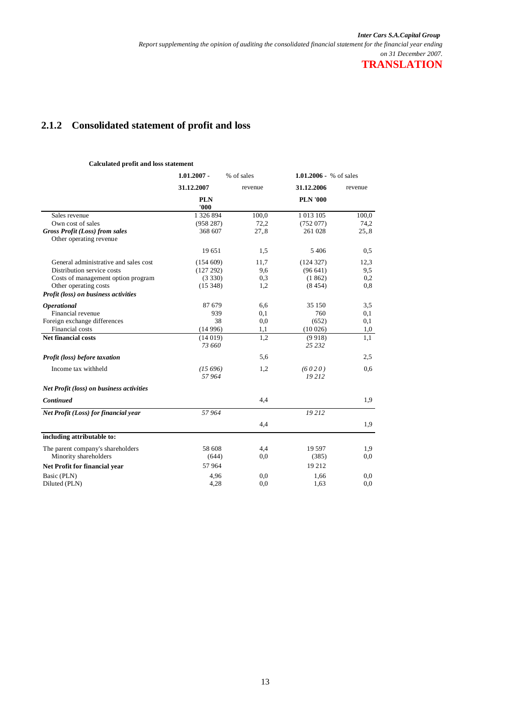# **2.1.2 Consolidated statement of profit and loss**

#### **Calculated profit and loss statement**

|                                                                  | $1.01.2007 -$       | % of sales | 1.01.2006 - % of sales |         |  |
|------------------------------------------------------------------|---------------------|------------|------------------------|---------|--|
|                                                                  | 31.12.2007          | revenue    | 31.12.2006             | revenue |  |
|                                                                  | <b>PLN</b><br>'000' |            | <b>PLN '000</b>        |         |  |
| Sales revenue                                                    | 1 326 894           | 100,0      | 1 0 1 3 1 0 5          | 100,0   |  |
| Own cost of sales                                                | (958 287)           | 72,2       | (752077)               | 74,2    |  |
| <b>Gross Profit (Loss) from sales</b><br>Other operating revenue | 368 607             | 27,8       | 261 028                | 25,8    |  |
|                                                                  | 19651               | 1,5        | 5406                   | 0,5     |  |
| General administrative and sales cost                            | (154609)            | 11,7       | (124327)               | 12,3    |  |
| Distribution service costs                                       | (127 292)           | 9,6        | (96641)                | 9,5     |  |
| Costs of management option program                               | (3330)              | 0,3        | (1862)                 | 0,2     |  |
| Other operating costs                                            | (15348)             | 1,2        | (8454)                 | 0,8     |  |
| Profit (loss) on business activities                             |                     |            |                        |         |  |
| <b>Operational</b>                                               | 87679               | 6,6        | 35 150                 | 3,5     |  |
| Financial revenue                                                | 939                 | 0,1        | 760                    | 0,1     |  |
| Foreign exchange differences                                     | 38                  | 0,0        | (652)                  | 0,1     |  |
| Financial costs                                                  | (14996)             | 1,1        | (10026)                | 1,0     |  |
| <b>Net financial costs</b>                                       | (14019)<br>73 660   | 1,2        | (9918)<br>25 23 2      | 1.1     |  |
| Profit (loss) before taxation                                    |                     | 5,6        |                        | 2,5     |  |
| Income tax withheld                                              | (15696)<br>57964    | 1,2        | (6020)<br>19212        | 0,6     |  |
| <b>Net Profit (loss) on business activities</b>                  |                     |            |                        |         |  |
| Continued                                                        |                     | 4,4        |                        | 1,9     |  |
| Net Profit (Loss) for financial year                             | 57964               |            | 19212                  |         |  |
|                                                                  |                     | 4,4        |                        | 1,9     |  |
| including attributable to:                                       |                     |            |                        |         |  |
| The parent company's shareholders                                | 58 608              | 4,4        | 19 5 97                | 1,9     |  |
| Minority shareholders                                            | (644)               | 0,0        | (385)                  | 0,0     |  |
| Net Profit for financial year                                    | 57964               |            | 19 21 2                |         |  |
| Basic (PLN)                                                      | 4,96                | 0,0        | 1,66                   | 0.0     |  |
| Diluted (PLN)                                                    | 4,28                | 0,0        | 1,63                   | 0,0     |  |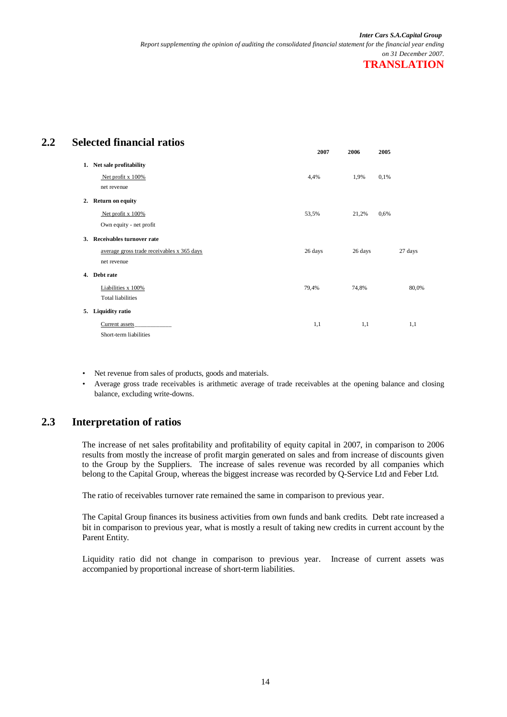# **2.2 Selected financial ratios**

|                                            | 2007    | 2006    | 2005 |         |
|--------------------------------------------|---------|---------|------|---------|
| 1. Net sale profitability                  |         |         |      |         |
| Net profit x 100%                          | 4,4%    | 1,9%    | 0,1% |         |
| net revenue                                |         |         |      |         |
| 2. Return on equity                        |         |         |      |         |
| Net profit x 100%                          | 53,5%   | 21,2%   | 0,6% |         |
| Own equity - net profit                    |         |         |      |         |
| 3. Receivables turnover rate               |         |         |      |         |
| average gross trade receivables x 365 days | 26 days | 26 days |      | 27 days |
| net revenue                                |         |         |      |         |
| 4. Debt rate                               |         |         |      |         |
| Liabilities x 100%                         | 79,4%   | 74,8%   |      | 80,0%   |
| <b>Total liabilities</b>                   |         |         |      |         |
| 5. Liquidity ratio                         |         |         |      |         |
| Current assets                             | 1,1     | 1,1     |      | 1,1     |
| Short-term liabilities                     |         |         |      |         |

- Net revenue from sales of products, goods and materials.
- Average gross trade receivables is arithmetic average of trade receivables at the opening balance and closing balance, excluding write-downs.

## **2.3 Interpretation of ratios**

The increase of net sales profitability and profitability of equity capital in 2007, in comparison to 2006 results from mostly the increase of profit margin generated on sales and from increase of discounts given to the Group by the Suppliers. The increase of sales revenue was recorded by all companies which belong to the Capital Group, whereas the biggest increase was recorded by Q-Service Ltd and Feber Ltd.

The ratio of receivables turnover rate remained the same in comparison to previous year.

The Capital Group finances its business activities from own funds and bank credits. Debt rate increased a bit in comparison to previous year, what is mostly a result of taking new credits in current account by the Parent Entity.

Liquidity ratio did not change in comparison to previous year. Increase of current assets was accompanied by proportional increase of short-term liabilities.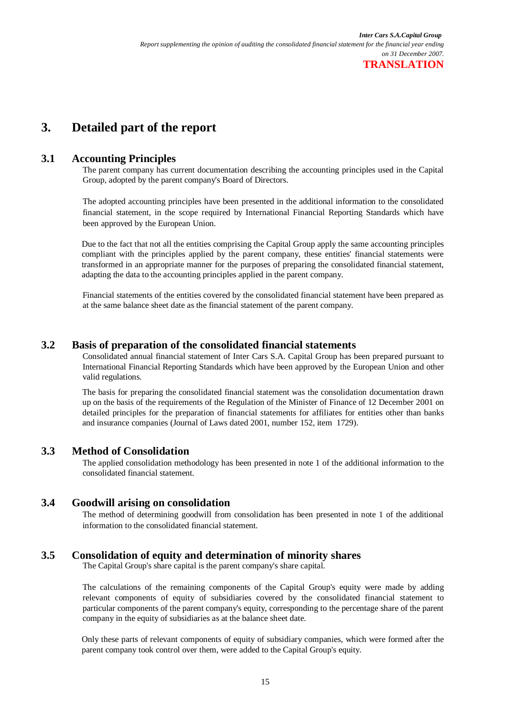# **3. Detailed part of the report**

## **3.1 Accounting Principles**

The parent company has current documentation describing the accounting principles used in the Capital Group, adopted by the parent company's Board of Directors.

The adopted accounting principles have been presented in the additional information to the consolidated financial statement, in the scope required by International Financial Reporting Standards which have been approved by the European Union.

Due to the fact that not all the entities comprising the Capital Group apply the same accounting principles compliant with the principles applied by the parent company, these entities' financial statements were transformed in an appropriate manner for the purposes of preparing the consolidated financial statement, adapting the data to the accounting principles applied in the parent company.

Financial statements of the entities covered by the consolidated financial statement have been prepared as at the same balance sheet date as the financial statement of the parent company.

## **3.2 Basis of preparation of the consolidated financial statements**

Consolidated annual financial statement of Inter Cars S.A. Capital Group has been prepared pursuant to International Financial Reporting Standards which have been approved by the European Union and other valid regulations.

The basis for preparing the consolidated financial statement was the consolidation documentation drawn up on the basis of the requirements of the Regulation of the Minister of Finance of 12 December 2001 on detailed principles for the preparation of financial statements for affiliates for entities other than banks and insurance companies (Journal of Laws dated 2001, number 152, item 1729).

## **3.3 Method of Consolidation**

The applied consolidation methodology has been presented in note 1 of the additional information to the consolidated financial statement.

### **3.4 Goodwill arising on consolidation**

The method of determining goodwill from consolidation has been presented in note 1 of the additional information to the consolidated financial statement.

## **3.5 Consolidation of equity and determination of minority shares**

The Capital Group's share capital is the parent company's share capital.

The calculations of the remaining components of the Capital Group's equity were made by adding relevant components of equity of subsidiaries covered by the consolidated financial statement to particular components of the parent company's equity, corresponding to the percentage share of the parent company in the equity of subsidiaries as at the balance sheet date.

Only these parts of relevant components of equity of subsidiary companies, which were formed after the parent company took control over them, were added to the Capital Group's equity.